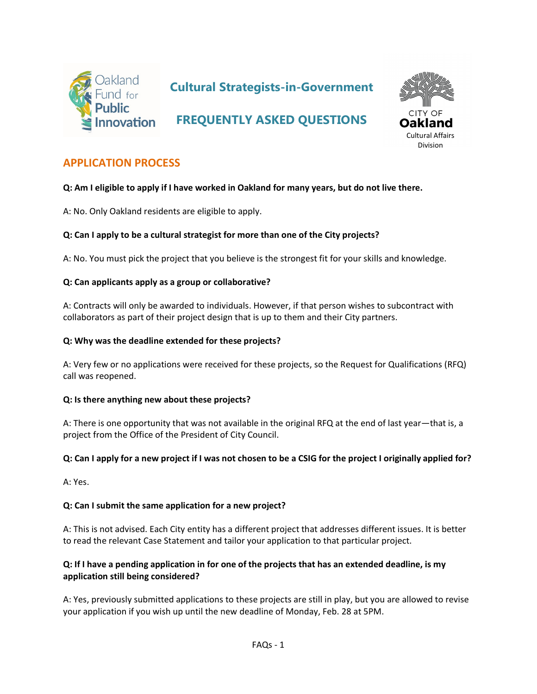

# **Cultural Strategists-in-Government**

# **FREQUENTLY ASKED QUESTIONS**



# **APPLICATION PROCESS**

#### **Q: Am I eligible to apply if I have worked in Oakland for many years, but do not live there.**

A: No. Only Oakland residents are eligible to apply.

#### **Q: Can I apply to be a cultural strategist for more than one of the City projects?**

A: No. You must pick the project that you believe is the strongest fit for your skills and knowledge.

#### **Q: Can applicants apply as a group or collaborative?**

A: Contracts will only be awarded to individuals. However, if that person wishes to subcontract with collaborators as part of their project design that is up to them and their City partners.

#### **Q: Why was the deadline extended for these projects?**

A: Very few or no applications were received for these projects, so the Request for Qualifications (RFQ) call was reopened.

#### **Q: Is there anything new about these projects?**

A: There is one opportunity that was not available in the original RFQ at the end of last year—that is, a project from the Office of the President of City Council.

#### **Q: Can I apply for a new project if I was not chosen to be a CSIG for the project I originally applied for?**

A: Yes.

#### **Q: Can I submit the same application for a new project?**

A: This is not advised. Each City entity has a different project that addresses different issues. It is better to read the relevant Case Statement and tailor your application to that particular project.

#### **Q: If I have a pending application in for one of the projects that has an extended deadline, is my application still being considered?**

A: Yes, previously submitted applications to these projects are still in play, but you are allowed to revise your application if you wish up until the new deadline of Monday, Feb. 28 at 5PM.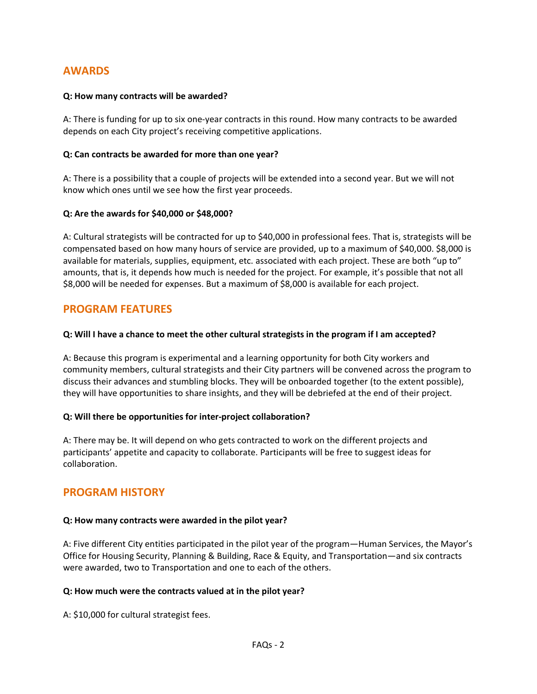# **AWARDS**

#### **Q: How many contracts will be awarded?**

A: There is funding for up to six one-year contracts in this round. How many contracts to be awarded depends on each City project's receiving competitive applications.

#### **Q: Can contracts be awarded for more than one year?**

A: There is a possibility that a couple of projects will be extended into a second year. But we will not know which ones until we see how the first year proceeds.

#### **Q: Are the awards for \$40,000 or \$48,000?**

A: Cultural strategists will be contracted for up to \$40,000 in professional fees. That is, strategists will be compensated based on how many hours of service are provided, up to a maximum of \$40,000. \$8,000 is available for materials, supplies, equipment, etc. associated with each project. These are both "up to" amounts, that is, it depends how much is needed for the project. For example, it's possible that not all \$8,000 will be needed for expenses. But a maximum of \$8,000 is available for each project.

## **PROGRAM FEATURES**

#### **Q: Will I have a chance to meet the other cultural strategists in the program if I am accepted?**

A: Because this program is experimental and a learning opportunity for both City workers and community members, cultural strategists and their City partners will be convened across the program to discuss their advances and stumbling blocks. They will be onboarded together (to the extent possible), they will have opportunities to share insights, and they will be debriefed at the end of their project.

#### **Q: Will there be opportunities for inter-project collaboration?**

A: There may be. It will depend on who gets contracted to work on the different projects and participants' appetite and capacity to collaborate. Participants will be free to suggest ideas for collaboration.

## **PROGRAM HISTORY**

#### **Q: How many contracts were awarded in the pilot year?**

A: Five different City entities participated in the pilot year of the program—Human Services, the Mayor's Office for Housing Security, Planning & Building, Race & Equity, and Transportation—and six contracts were awarded, two to Transportation and one to each of the others.

#### **Q: How much were the contracts valued at in the pilot year?**

A: \$10,000 for cultural strategist fees.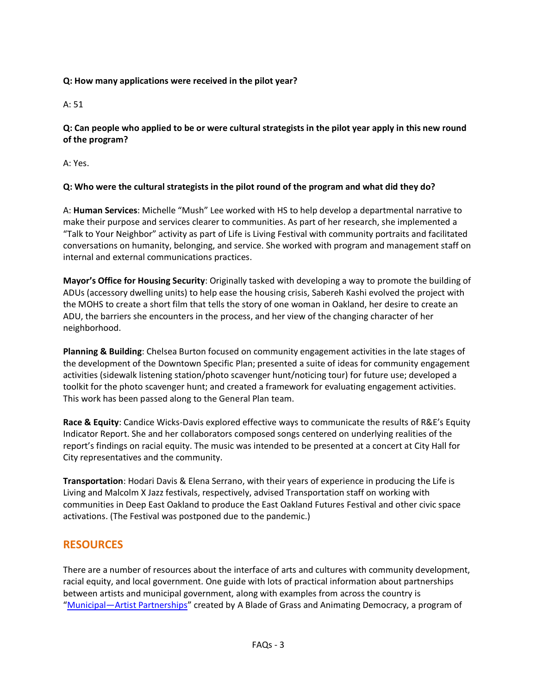### **Q: How many applications were received in the pilot year?**

A: 51

**Q: Can people who applied to be or were cultural strategists in the pilot year apply in this new round of the program?**

A: Yes.

## **Q: Who were the cultural strategists in the pilot round of the program and what did they do?**

A: **Human Services**: Michelle "Mush" Lee worked with HS to help develop a departmental narrative to make their purpose and services clearer to communities. As part of her research, she implemented a "Talk to Your Neighbor" activity as part of Life is Living Festival with community portraits and facilitated conversations on humanity, belonging, and service. She worked with program and management staff on internal and external communications practices.

**Mayor's Office for Housing Security**: Originally tasked with developing a way to promote the building of ADUs (accessory dwelling units) to help ease the housing crisis, Sabereh Kashi evolved the project with the MOHS to create a short film that tells the story of one woman in Oakland, her desire to create an ADU, the barriers she encounters in the process, and her view of the changing character of her neighborhood.

**Planning & Building**: Chelsea Burton focused on community engagement activities in the late stages of the development of the Downtown Specific Plan; presented a suite of ideas for community engagement activities (sidewalk listening station/photo scavenger hunt/noticing tour) for future use; developed a toolkit for the photo scavenger hunt; and created a framework for evaluating engagement activities. This work has been passed along to the General Plan team.

**Race & Equity**: Candice Wicks-Davis explored effective ways to communicate the results of R&E's Equity Indicator Report. She and her collaborators composed songs centered on underlying realities of the report's findings on racial equity. The music was intended to be presented at a concert at City Hall for City representatives and the community.

**Transportation**: Hodari Davis & Elena Serrano, with their years of experience in producing the Life is Living and Malcolm X Jazz festivals, respectively, advised Transportation staff on working with communities in Deep East Oakland to produce the East Oakland Futures Festival and other civic space activations. (The Festival was postponed due to the pandemic.)

# **RESOURCES**

There are a number of resources about the interface of arts and cultures with community development, racial equity, and local government. One guide with lots of practical information about partnerships between artists and municipal government, along with examples from across the country is ["Municipal—Artist Partnerships"](https://municipal-artist.org/) created by A Blade of Grass and Animating Democracy, a program of